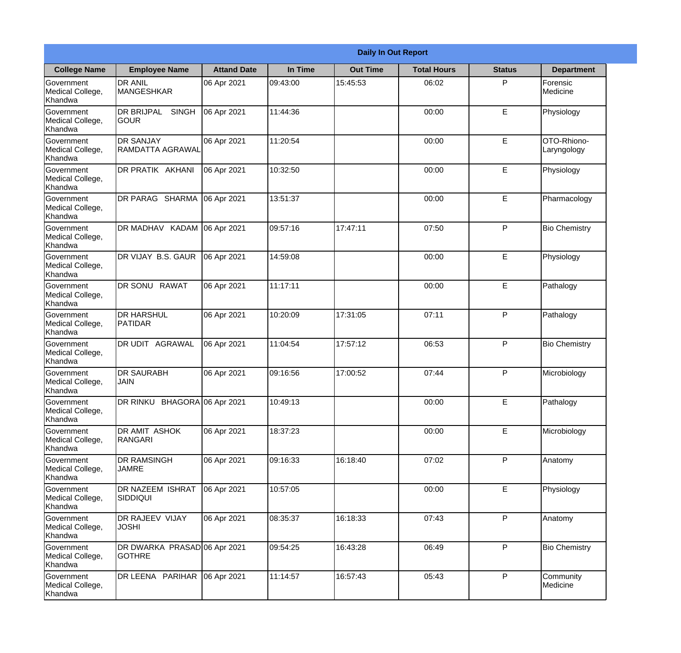|                                                  |                                               | <b>Daily In Out Report</b> |          |                 |                    |               |                            |  |
|--------------------------------------------------|-----------------------------------------------|----------------------------|----------|-----------------|--------------------|---------------|----------------------------|--|
| <b>College Name</b>                              | <b>Employee Name</b>                          | <b>Attand Date</b>         | In Time  | <b>Out Time</b> | <b>Total Hours</b> | <b>Status</b> | <b>Department</b>          |  |
| Government<br>Medical College,<br>Khandwa        | <b>DR ANIL</b><br><b>MANGESHKAR</b>           | 06 Apr 2021                | 09:43:00 | 15:45:53        | 06:02              | P             | Forensic<br>Medicine       |  |
| Government<br>Medical College,<br>Khandwa        | <b>DR BRIJPAL</b><br><b>SINGH</b><br> GOUR    | 06 Apr 2021                | 11:44:36 |                 | 00:00              | E             | Physiology                 |  |
| <b>Government</b><br>Medical College,<br>Khandwa | <b>DR SANJAY</b><br>RAMDATTA AGRAWAL          | 06 Apr 2021                | 11:20:54 |                 | 00:00              | E             | OTO-Rhiono-<br>Laryngology |  |
| Government<br>Medical College,<br>Khandwa        | <b>DR PRATIK AKHANI</b>                       | 06 Apr 2021                | 10:32:50 |                 | 00:00              | E             | Physiology                 |  |
| Government<br>Medical College,<br>Khandwa        | DR PARAG SHARMA                               | 06 Apr 2021                | 13:51:37 |                 | 00:00              | E             | Pharmacology               |  |
| Government<br>Medical College,<br>Khandwa        | DR MADHAV KADAM                               | 06 Apr 2021                | 09:57:16 | 17:47:11        | 07:50              | P             | <b>Bio Chemistry</b>       |  |
| Government<br>Medical College,<br>Khandwa        | DR VIJAY B.S. GAUR                            | 06 Apr 2021                | 14:59:08 |                 | 00:00              | E             | Physiology                 |  |
| Government<br>Medical College,<br>Khandwa        | <b>DR SONU RAWAT</b>                          | 06 Apr 2021                | 11:17:11 |                 | 00:00              | E             | Pathalogy                  |  |
| Government<br>Medical College,<br>Khandwa        | <b>DR HARSHUL</b><br>PATIDAR                  | 06 Apr 2021                | 10:20:09 | 17:31:05        | 07:11              | P             | Pathalogy                  |  |
| Government<br>Medical College,<br>Khandwa        | DR UDIT<br>AGRAWAL                            | 06 Apr 2021                | 11:04:54 | 17:57:12        | 06:53              | P             | <b>Bio Chemistry</b>       |  |
| Government<br>Medical College,<br>Khandwa        | <b>IDR SAURABH</b><br><b>JAIN</b>             | 06 Apr 2021                | 09:16:56 | 17:00:52        | 07:44              | $\mathsf{P}$  | Microbiology               |  |
| Government<br>Medical College,<br>Khandwa        | DR RINKU BHAGORA 06 Apr 2021                  |                            | 10:49:13 |                 | 00:00              | E             | Pathalogy                  |  |
| Government<br>Medical College,<br>Khandwa        | DR AMIT ASHOK<br>RANGARI                      | 06 Apr 2021                | 18:37:23 |                 | 00:00              | E             | Microbiology               |  |
| Government<br>Medical College,<br>Khandwa        | <b>DR RAMSINGH</b><br><b>JAMRE</b>            | 06 Apr 2021                | 09:16:33 | 16:18:40        | 07:02              | P             | Anatomy                    |  |
| Government<br>Medical College,<br>Khandwa        | <b>DR NAZEEM ISHRAT</b><br>SIDDIQUI           | 06 Apr 2021                | 10:57:05 |                 | 00:00              | E             | Physiology                 |  |
| Government<br>Medical College,<br>Khandwa        | <b>DR RAJEEV VIJAY</b><br><b>JOSHI</b>        | 06 Apr 2021                | 08:35:37 | 16:18:33        | 07:43              | P             | Anatomy                    |  |
| Government<br>Medical College,<br>Khandwa        | DR DWARKA PRASAD 06 Apr 2021<br><b>GOTHRE</b> |                            | 09:54:25 | 16:43:28        | 06:49              | P             | <b>Bio Chemistry</b>       |  |
| Government<br>Medical College,<br>Khandwa        | DR LEENA PARIHAR                              | 06 Apr 2021                | 11:14:57 | 16:57:43        | 05:43              | P             | Community<br>Medicine      |  |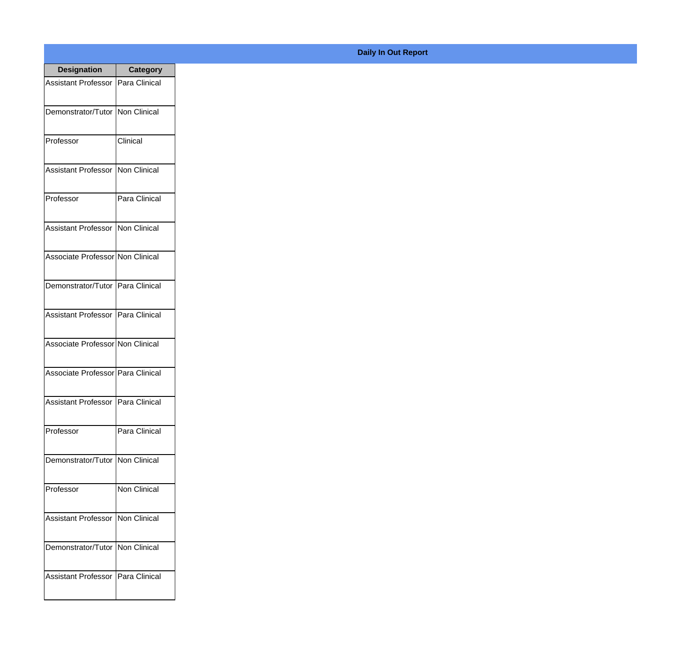| <b>Designation</b>                  | <b>Category</b>     |
|-------------------------------------|---------------------|
| Assistant Professor   Para Clinical |                     |
| Demonstrator/Tutor   Non Clinical   |                     |
| Professor                           | Clinical            |
| <b>Assistant Professor</b>          | Non Clinical        |
| Professor                           | Para Clinical       |
| Assistant Professor   Non Clinical  |                     |
| Associate Professor Non Clinical    |                     |
| Demonstrator/Tutor   Para Clinical  |                     |
| Assistant Professor   Para Clinical |                     |
| Associate Professor Non Clinical    |                     |
| Associate Professor Para Clinical   |                     |
| Assistant Professor   Para Clinical |                     |
| Professor                           | Para Clinical       |
| Demonstrator/Tutor   Non Clinical   |                     |
| Professor                           | <b>Non Clinical</b> |
| Assistant Professor                 | Non Clinical        |
| Demonstrator/Tutor   Non Clinical   |                     |
| Assistant Professor   Para Clinical |                     |

## **Daily In Out Report**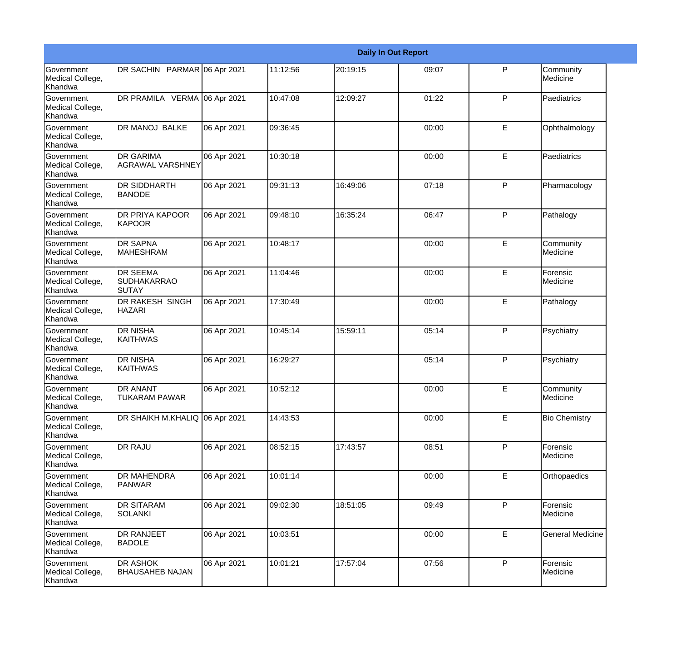|                                                  | <b>Daily In Out Report</b>                     |             |          |          |       |              |                         |  |  |
|--------------------------------------------------|------------------------------------------------|-------------|----------|----------|-------|--------------|-------------------------|--|--|
| Government<br>Medical College,<br>Khandwa        | DR SACHIN PARMAR 06 Apr 2021                   |             | 11:12:56 | 20:19:15 | 09:07 | $\mathsf{P}$ | Community<br>Medicine   |  |  |
| Government<br>Medical College,<br>Khandwa        | DR PRAMILA VERMA 06 Apr 2021                   |             | 10:47:08 | 12:09:27 | 01:22 | $\mathsf{P}$ | Paediatrics             |  |  |
| <b>Government</b><br>Medical College,<br>Khandwa | <b>DR MANOJ BALKE</b>                          | 06 Apr 2021 | 09:36:45 |          | 00:00 | E            | Ophthalmology           |  |  |
| Government<br>Medical College,<br>Khandwa        | <b>DR GARIMA</b><br><b>AGRAWAL VARSHNEY</b>    | 06 Apr 2021 | 10:30:18 |          | 00:00 | E            | Paediatrics             |  |  |
| Government<br>Medical College,<br>Khandwa        | DR SIDDHARTH<br><b>BANODE</b>                  | 06 Apr 2021 | 09:31:13 | 16:49:06 | 07:18 | $\mathsf{P}$ | Pharmacology            |  |  |
| Government<br>Medical College,<br><b>Khandwa</b> | DR PRIYA KAPOOR<br><b>KAPOOR</b>               | 06 Apr 2021 | 09:48:10 | 16:35:24 | 06:47 | $\mathsf{P}$ | Pathalogy               |  |  |
| Government<br>Medical College,<br>Khandwa        | <b>DR SAPNA</b><br><b>MAHESHRAM</b>            | 06 Apr 2021 | 10:48:17 |          | 00:00 | E            | Community<br>Medicine   |  |  |
| <b>Government</b><br>Medical College,<br>Khandwa | <b>DR SEEMA</b><br><b>SUDHAKARRAO</b><br>SUTAY | 06 Apr 2021 | 11:04:46 |          | 00:00 | E            | Forensic<br>Medicine    |  |  |
| Government<br>Medical College,<br>Khandwa        | DR RAKESH SINGH<br><b>HAZARI</b>               | 06 Apr 2021 | 17:30:49 |          | 00:00 | E            | Pathalogy               |  |  |
| Government<br>Medical College,<br>Khandwa        | <b>DR NISHA</b><br><b>KAITHWAS</b>             | 06 Apr 2021 | 10:45:14 | 15:59:11 | 05:14 | $\mathsf{P}$ | Psychiatry              |  |  |
| <b>Government</b><br>Medical College,<br>Khandwa | <b>DR NISHA</b><br><b>KAITHWAS</b>             | 06 Apr 2021 | 16:29:27 |          | 05:14 | $\mathsf{P}$ | Psychiatry              |  |  |
| Government<br>Medical College,<br>Khandwa        | DR ANANT<br><b>TUKARAM PAWAR</b>               | 06 Apr 2021 | 10:52:12 |          | 00:00 | E            | Community<br>Medicine   |  |  |
| Government<br>Medical College,<br>Khandwa        | DR SHAIKH M.KHALIQ 06 Apr 2021                 |             | 14:43:53 |          | 00:00 | E            | <b>Bio Chemistry</b>    |  |  |
| Government<br>Medical College,<br>Khandwa        | DR RAJU                                        | 06 Apr 2021 | 08:52:15 | 17:43:57 | 08:51 | P            | Forensic<br>Medicine    |  |  |
| Government<br>Medical College,<br>Khandwa        | <b>DR MAHENDRA</b><br>PANWAR                   | 06 Apr 2021 | 10:01:14 |          | 00:00 | E            | Orthopaedics            |  |  |
| Government<br>Medical College,<br>Khandwa        | DR SITARAM<br>SOLANKI                          | 06 Apr 2021 | 09:02:30 | 18:51:05 | 09:49 | P            | Forensic<br>Medicine    |  |  |
| Government<br>Medical College,<br>Khandwa        | DR RANJEET<br><b>BADOLE</b>                    | 06 Apr 2021 | 10:03:51 |          | 00:00 | E            | <b>General Medicine</b> |  |  |
| Government<br>Medical College,<br>Khandwa        | DR ASHOK<br><b>BHAUSAHEB NAJAN</b>             | 06 Apr 2021 | 10:01:21 | 17:57:04 | 07:56 | P            | Forensic<br>Medicine    |  |  |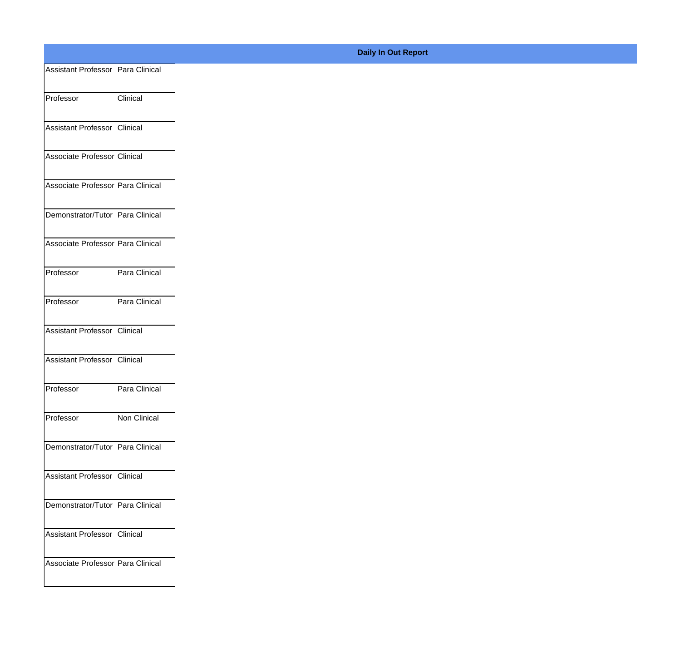| Assistant Professor   Para Clinical |               |
|-------------------------------------|---------------|
| Professor                           | Clinical      |
| Assistant Professor Clinical        |               |
| Associate Professor Clinical        |               |
|                                     |               |
| Associate Professor Para Clinical   |               |
| Demonstrator/Tutor Para Clinical    |               |
| Associate Professor Para Clinical   |               |
| Professor                           | Para Clinical |
| Professor                           | Para Clinical |
|                                     |               |
| Assistant Professor Clinical        |               |
| Assistant Professor Clinical        |               |
| Professor                           | Para Clinical |
| Professor                           | Non Clinical  |
| Demonstrator/Tutor Para Clinical    |               |
| Assistant Professor Clinical        |               |
|                                     |               |
| Demonstrator/Tutor Para Clinical    |               |
| Assistant Professor Clinical        |               |
| Associate Professor Para Clinical   |               |